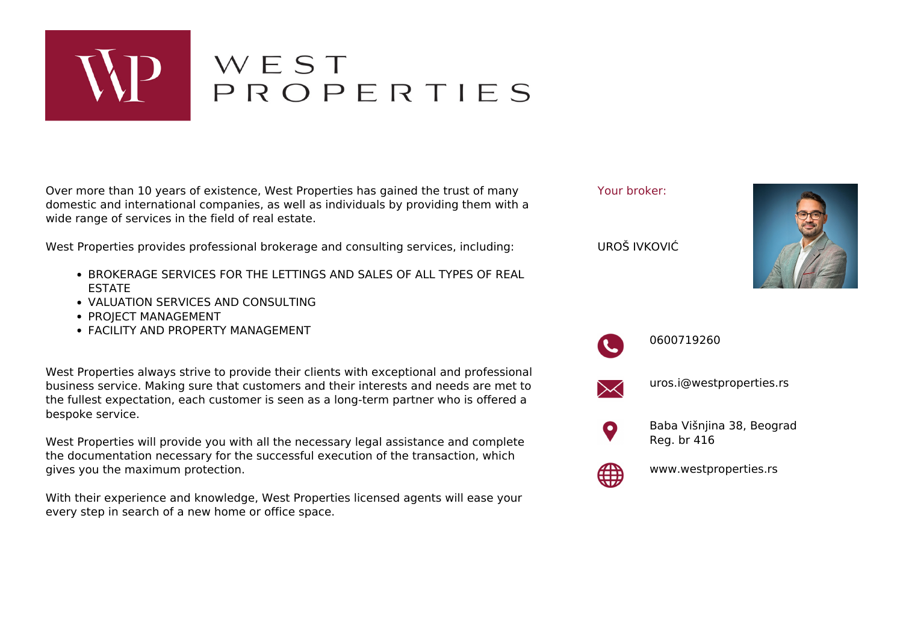

## WEST<br>PROPERTIES

Over more than 10 years of existence, West Properties has gained the trust of many domestic and international companies, as well as individuals by providing them with a wide range of services in the field of real estate.

West Properties provides professional brokerage and consulting services, including:

- **BROKERAGE SERVICES FOR THE LETTINGS AND SALES OF ALL TYPES OF REAL** ESTATE
- VALUATION SERVICES AND CONSULTING
- PROJECT MANAGEMENT
- FACILITY AND PROPERTY MANAGEMENT

West Properties always strive to provide their clients with exceptional and professional business service. Making sure that customers and their interests and needs are met to the fullest expectation, each customer is seen as a long-term partner who is offered a bespoke service.

West Properties will provide you with all the necessary legal assistance and complete the documentation necessary for the successful execution of the transaction, which gives you the maximum protection.

With their experience and knowledge, West Properties licensed agents will ease your every step in search of a new home or office space.





0600719260



uros.i@westproperties.rs



Baba Višnjina 38, Beograd Reg. br 416



www.westproperties.rs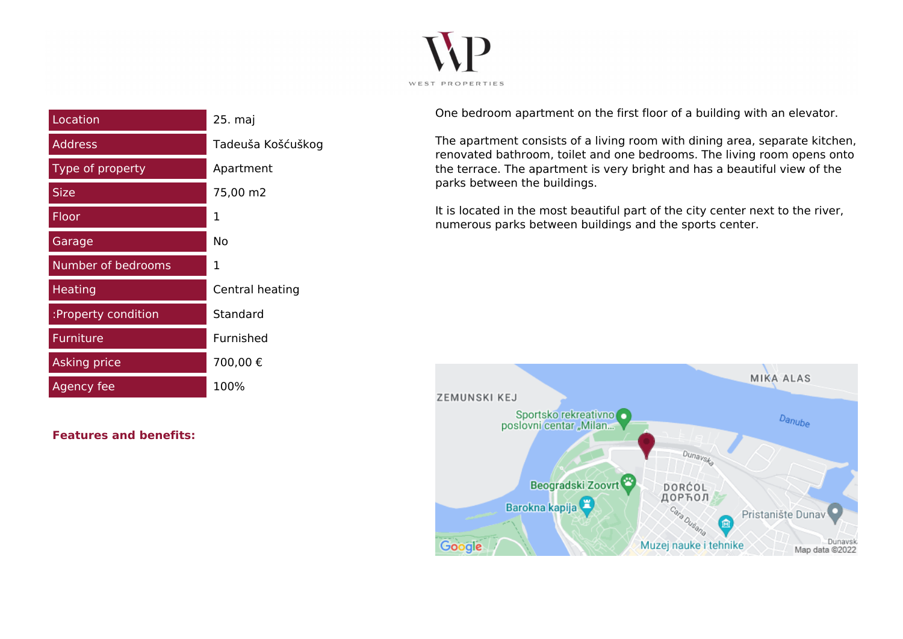

| Location            | 25. maj           |
|---------------------|-------------------|
| <b>Address</b>      | Tadeuša Košćuškog |
| Type of property    | Apartment         |
| <b>Size</b>         | 75,00 m2          |
| Floor               | 1                 |
| Garage              | Nο                |
| Number of bedrooms  | 1                 |
| <b>Heating</b>      | Central heating   |
| :Property condition | Standard          |
| Furniture           | Furnished         |
| Asking price        | 700,00€           |
| Agency fee          | 100%              |

**Features and benefits:**

One bedroom apartment on the first floor of a building with an elevator.

The apartment consists of a living room with dining area, separate kitchen, renovated bathroom, toilet and one bedrooms. The living room opens onto the terrace. The apartment is very bright and has a beautiful view of the parks between the buildings.

It is located in the most beautiful part of the city center next to the river, numerous parks between buildings and the sports center.